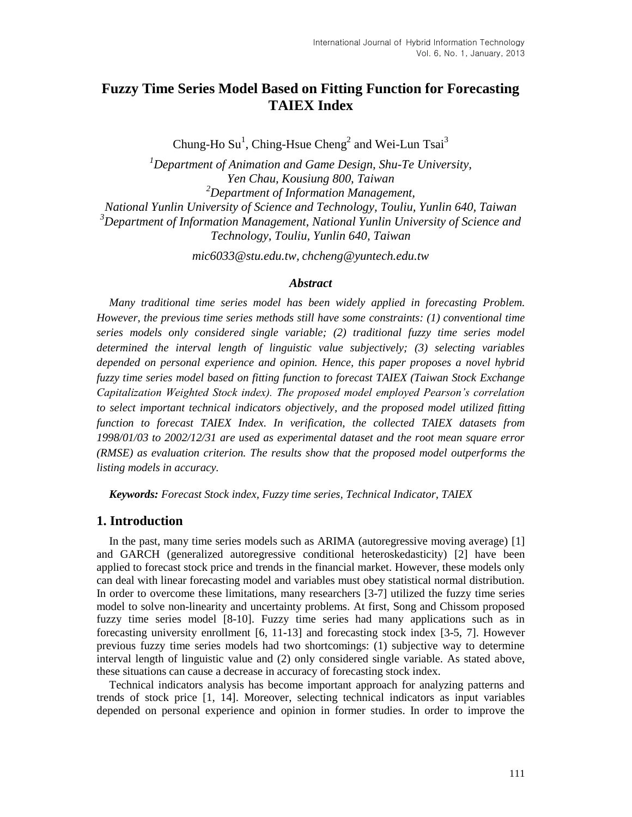# **Fuzzy Time Series Model Based on Fitting Function for Forecasting TAIEX Index**

Chung-Ho Su<sup>1</sup>, Ching-Hsue Cheng<sup>2</sup> and Wei-Lun Tsai<sup>3</sup>

*<sup>1</sup>Department of Animation and Game Design, Shu-Te University, Yen Chau, Kousiung 800, Taiwan <sup>2</sup>Department of Information Management, National Yunlin University of Science and Technology, Touliu, Yunlin 640, Taiwan <sup>3</sup>Department of Information Management, National Yunlin University of Science and Technology, Touliu, Yunlin 640, Taiwan*

*mic6033@stu.edu.tw, [chcheng@yuntech.edu.tw](mailto:chcheng@yuntech.edu.tw)*

### *Abstract*

*Many traditional time series model has been widely applied in forecasting Problem. However, the previous time series methods still have some constraints: (1) conventional time series models only considered single variable; (2) traditional fuzzy time series model determined the interval length of linguistic value subjectively; (3) selecting variables depended on personal experience and opinion. Hence, this paper proposes a novel hybrid fuzzy time series model based on fitting function to forecast TAIEX (Taiwan Stock Exchange Capitalization Weighted Stock index). The proposed model employed Pearson's correlation to select important technical indicators objectively, and the proposed model utilized fitting function to forecast TAIEX Index. In verification, the collected TAIEX datasets from 1998/01/03 to 2002/12/31 are used as experimental dataset and the root mean square error (RMSE) as evaluation criterion. The results show that the proposed model outperforms the listing models in accuracy.*

*Keywords: Forecast Stock index, Fuzzy time series, Technical Indicator, TAIEX*

# **1. Introduction**

In the past, many time series models such as ARIMA (autoregressive moving average) [1] and GARCH (generalized autoregressive conditional heteroskedasticity) [2] have been applied to forecast stock price and trends in the financial market. However, these models only can deal with linear forecasting model and variables must obey statistical normal distribution. In order to overcome these limitations, many researchers [3-7] utilized the fuzzy time series model to solve non-linearity and uncertainty problems. At first, Song and Chissom proposed fuzzy time series model [8-10]. Fuzzy time series had many applications such as in forecasting university enrollment [6, 11-13] and forecasting stock index [3-5, 7]. However previous fuzzy time series models had two shortcomings: (1) subjective way to determine interval length of linguistic value and (2) only considered single variable. As stated above, these situations can cause a decrease in accuracy of forecasting stock index.

Technical indicators analysis has become important approach for analyzing patterns and trends of stock price [1, 14]. Moreover, selecting technical indicators as input variables depended on personal experience and opinion in former studies. In order to improve the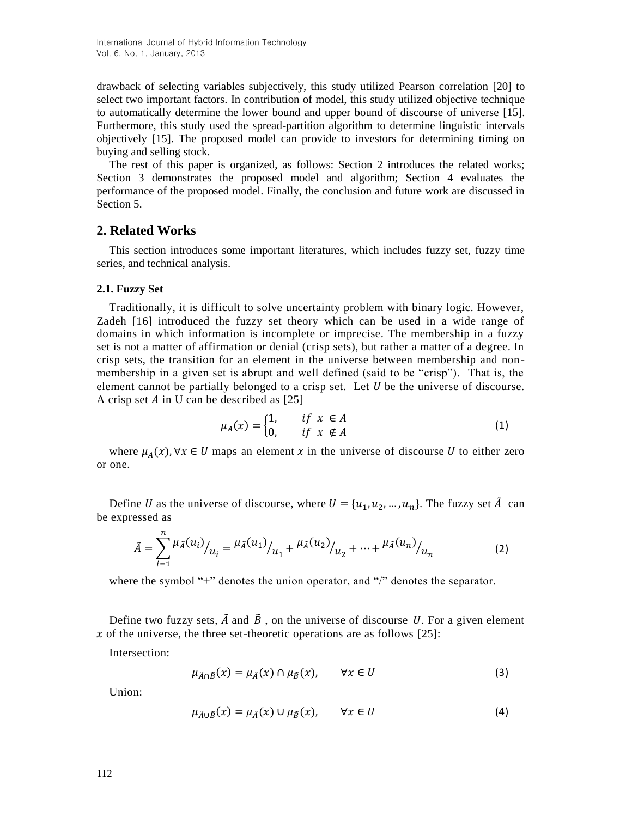drawback of selecting variables subjectively, this study utilized Pearson correlation [20] to select two important factors. In contribution of model, this study utilized objective technique to automatically determine the lower bound and upper bound of discourse of universe [15]. Furthermore, this study used the spread-partition algorithm to determine linguistic intervals objectively [15]. The proposed model can provide to investors for determining timing on buying and selling stock.

The rest of this paper is organized, as follows: Section 2 introduces the related works; Section 3 demonstrates the proposed model and algorithm; Section 4 evaluates the performance of the proposed model. Finally, the conclusion and future work are discussed in Section 5.

# **2. Related Works**

This section introduces some important literatures, which includes fuzzy set, fuzzy time series, and technical analysis.

### **2.1. Fuzzy Set**

Traditionally, it is difficult to solve uncertainty problem with binary logic. However, Zadeh [16] introduced the fuzzy set theory which can be used in a wide range of domains in which information is incomplete or imprecise. The membership in a fuzzy set is not a matter of affirmation or denial (crisp sets), but rather a matter of a degree. In crisp sets, the transition for an element in the universe between membership and nonmembership in a given set is abrupt and well defined (said to be "crisp"). That is, the element cannot be partially belonged to a crisp set. Let  $U$  be the universe of discourse. A crisp set  $\hat{A}$  in U can be described as [25]

$$
\mu_A(x) = \begin{cases} 1, & \text{if } x \in A \\ 0, & \text{if } x \notin A \end{cases} \tag{1}
$$

where  $\mu_A(x)$ ,  $\forall x \in U$  maps an element x in the universe of discourse U to either zero or one.

Define U as the universe of discourse, where  $U = \{u_1, u_2, ..., u_n\}$ . The fuzzy set  $\tilde{A}$  can be expressed as

$$
\tilde{A} = \sum_{i=1}^{n} \mu_{\tilde{A}}(u_i) / u_i = \mu_{\tilde{A}}(u_1) / u_1 + \mu_{\tilde{A}}(u_2) / u_2 + \dots + \mu_{\tilde{A}}(u_n) / u_n \tag{2}
$$

where the symbol "+" denotes the union operator, and "/" denotes the separator.

Define two fuzzy sets,  $\tilde{A}$  and  $\tilde{B}$ , on the universe of discourse U. For a given element x of the universe, the three set-theoretic operations are as follows  $[25]$ :

Intersection:

$$
\mu_{\tilde{A}\cap\tilde{B}}(x) = \mu_{\tilde{A}}(x) \cap \mu_{\tilde{B}}(x), \qquad \forall x \in U
$$
\n(3)

Union:

$$
\mu_{\tilde{A}\cup\tilde{B}}(x) = \mu_{\tilde{A}}(x) \cup \mu_{\tilde{B}}(x), \qquad \forall x \in U \tag{4}
$$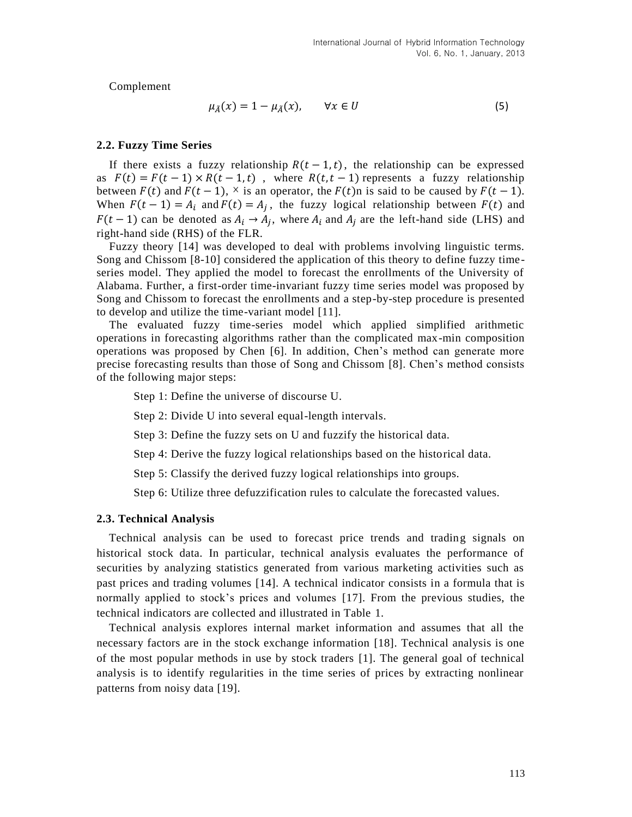Complement

$$
\mu_{\tilde{A}}(x) = 1 - \mu_{\tilde{A}}(x), \qquad \forall x \in U \tag{5}
$$

#### **2.2. Fuzzy Time Series**

If there exists a fuzzy relationship  $R(t - 1, t)$ , the relationship can be expressed as  $F(t) = F(t-1) \times R(t-1, t)$ , where  $R(t, t-1)$  represents a fuzzy relationship between  $F(t)$  and  $F(t-1)$ ,  $\times$  is an operator, the  $F(t)$ n is said to be caused by  $F(t-1)$ . When  $F(t - 1) = A_i$  and  $F(t) = A_i$ , the fuzzy logical relationship between  $F(t)$  and  $F(t-1)$  can be denoted as  $A_i \rightarrow A_j$ , where  $A_i$  and  $A_j$  are the left-hand side (LHS) and right-hand side (RHS) of the FLR.

Fuzzy theory [14] was developed to deal with problems involving linguistic terms. Song and Chissom [8-10] considered the application of this theory to define fuzzy timeseries model. They applied the model to forecast the enrollments of the University of Alabama. Further, a first-order time-invariant fuzzy time series model was proposed by Song and Chissom to forecast the enrollments and a step-by-step procedure is presented to develop and utilize the time-variant model [11].

The evaluated fuzzy time-series model which applied simplified arithmetic operations in forecasting algorithms rather than the complicated max-min composition operations was proposed by Chen [6]. In addition, Chen's method can generate more precise forecasting results than those of Song and Chissom [8]. Chen's method consists of the following major steps:

Step 1: Define the universe of discourse U.

Step 2: Divide U into several equal-length intervals.

Step 3: Define the fuzzy sets on U and fuzzify the historical data.

Step 4: Derive the fuzzy logical relationships based on the historical data.

Step 5: Classify the derived fuzzy logical relationships into groups.

Step 6: Utilize three defuzzification rules to calculate the forecasted values.

#### **2.3. Technical Analysis**

Technical analysis can be used to forecast price trends and trading signals on historical stock data. In particular, technical analysis evaluates the performance of securities by analyzing statistics generated from various marketing activities such as past prices and trading volumes [14]. A technical indicator consists in a formula that is normally applied to stock's prices and volumes [17]. From the previous studies, the technical indicators are collected and illustrated in Table 1.

Technical analysis explores internal market information and assumes that all the necessary factors are in the stock exchange information [18]. Technical analysis is one of the most popular methods in use by stock traders [1]. The general goal of technical analysis is to identify regularities in the time series of prices by extracting nonlinear patterns from noisy data [19].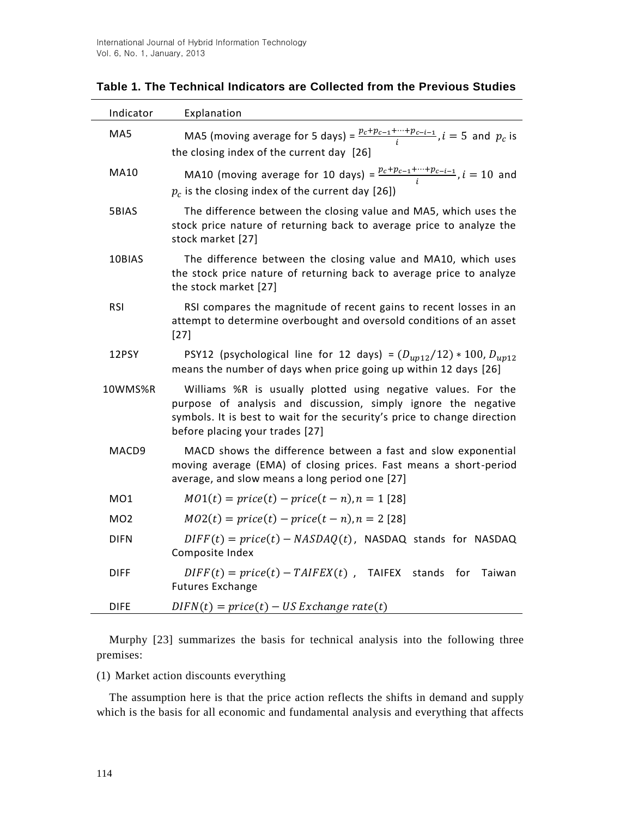| Indicator       | Explanation                                                                                                                                                                                                                                    |  |  |
|-----------------|------------------------------------------------------------------------------------------------------------------------------------------------------------------------------------------------------------------------------------------------|--|--|
| MA5             | MA5 (moving average for 5 days) = $\frac{p_c+p_{c-1}+\cdots+p_{c-i-1}}{i}$ , $i=5$ and $p_c$ is<br>the closing index of the current day [26]                                                                                                   |  |  |
| <b>MA10</b>     | MA10 (moving average for 10 days) = $\frac{p_c + p_{c-1} + \cdots + p_{c-i-1}}{i}$ , $i = 10$ and<br>$p_c$ is the closing index of the current day [26])                                                                                       |  |  |
| 5BIAS           | The difference between the closing value and MA5, which uses the<br>stock price nature of returning back to average price to analyze the<br>stock market [27]                                                                                  |  |  |
| 10BIAS          | The difference between the closing value and MA10, which uses<br>the stock price nature of returning back to average price to analyze<br>the stock market [27]                                                                                 |  |  |
| <b>RSI</b>      | RSI compares the magnitude of recent gains to recent losses in an<br>attempt to determine overbought and oversold conditions of an asset<br>$[27]$                                                                                             |  |  |
| 12PSY           | PSY12 (psychological line for 12 days) = $(D_{up12}/12) * 100$ , $D_{up12}$<br>means the number of days when price going up within 12 days [26]                                                                                                |  |  |
| 10WMS%R         | Williams %R is usually plotted using negative values. For the<br>purpose of analysis and discussion, simply ignore the negative<br>symbols. It is best to wait for the security's price to change direction<br>before placing your trades [27] |  |  |
| MACD9           | MACD shows the difference between a fast and slow exponential<br>moving average (EMA) of closing prices. Fast means a short-period<br>average, and slow means a long period one [27]                                                           |  |  |
| MO1             | $MO1(t) = price(t) - price(t - n), n = 1$ [28]                                                                                                                                                                                                 |  |  |
| MO <sub>2</sub> | $MO2(t) = price(t) - price(t - n), n = 2$ [28]                                                                                                                                                                                                 |  |  |
| <b>DIFN</b>     | $DIFF(t) = price(t) - NASDAQ(t)$ , NASDAQ stands for NASDAQ<br>Composite Index                                                                                                                                                                 |  |  |
| <b>DIFF</b>     | $DIFF(t) = price(t) - TAIFEX(t)$ ,<br><b>TAIFEX</b><br>for<br>stands<br>Taiwan<br><b>Futures Exchange</b>                                                                                                                                      |  |  |
| <b>DIFE</b>     | $DIFN(t) = price(t) - US Exchange\ rate(t)$                                                                                                                                                                                                    |  |  |

**Table 1. The Technical Indicators are Collected from the Previous Studies**

Murphy [23] summarizes the basis for technical analysis into the following three premises:

(1) Market action discounts everything

The assumption here is that the price action reflects the shifts in demand and supply which is the basis for all economic and fundamental analysis and everything that affects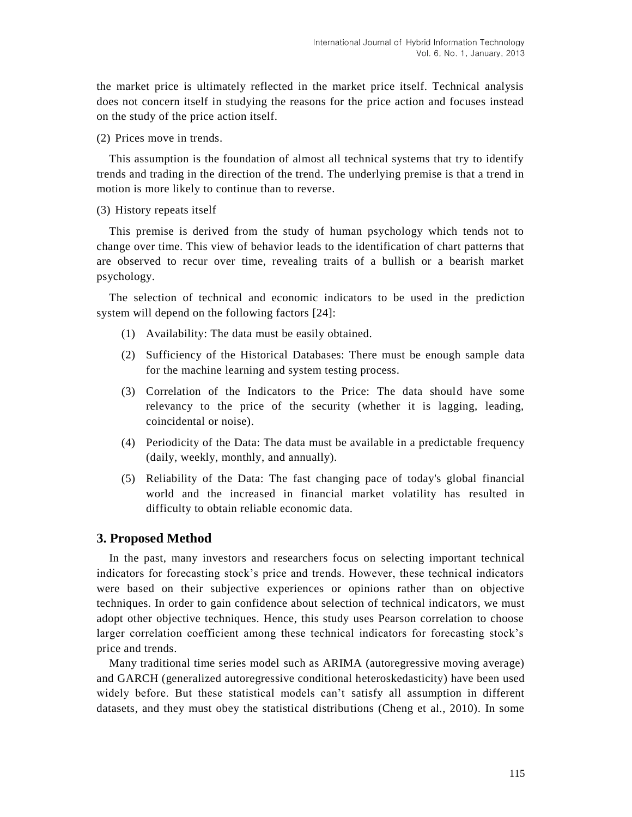the market price is ultimately reflected in the market price itself. Technical analysis does not concern itself in studying the reasons for the price action and focuses instead on the study of the price action itself.

(2) Prices move in trends.

This assumption is the foundation of almost all technical systems that try to identify trends and trading in the direction of the trend. The underlying premise is that a trend in motion is more likely to continue than to reverse.

(3) History repeats itself

This premise is derived from the study of human psychology which tends not to change over time. This view of behavior leads to the identification of chart patterns that are observed to recur over time, revealing traits of a bullish or a bearish market psychology.

The selection of technical and economic indicators to be used in the prediction system will depend on the following factors [24]:

- (1) Availability: The data must be easily obtained.
- (2) Sufficiency of the Historical Databases: There must be enough sample data for the machine learning and system testing process.
- (3) Correlation of the Indicators to the Price: The data should have some relevancy to the price of the security (whether it is lagging, leading, coincidental or noise).
- (4) Periodicity of the Data: The data must be available in a predictable frequency (daily, weekly, monthly, and annually).
- (5) Reliability of the Data: The fast changing pace of today's global financial world and the increased in financial market volatility has resulted in difficulty to obtain reliable economic data.

# **3. Proposed Method**

In the past, many investors and researchers focus on selecting important technical indicators for forecasting stock's price and trends. However, these technical indicators were based on their subjective experiences or opinions rather than on objective techniques. In order to gain confidence about selection of technical indicators, we must adopt other objective techniques. Hence, this study uses Pearson correlation to choose larger correlation coefficient among these technical indicators for forecasting stock's price and trends.

Many traditional time series model such as ARIMA (autoregressive moving average) and GARCH (generalized autoregressive conditional heteroskedasticity) have been used widely before. But these statistical models can't satisfy all assumption in different datasets, and they must obey the statistical distributions (Cheng et al., 2010). In some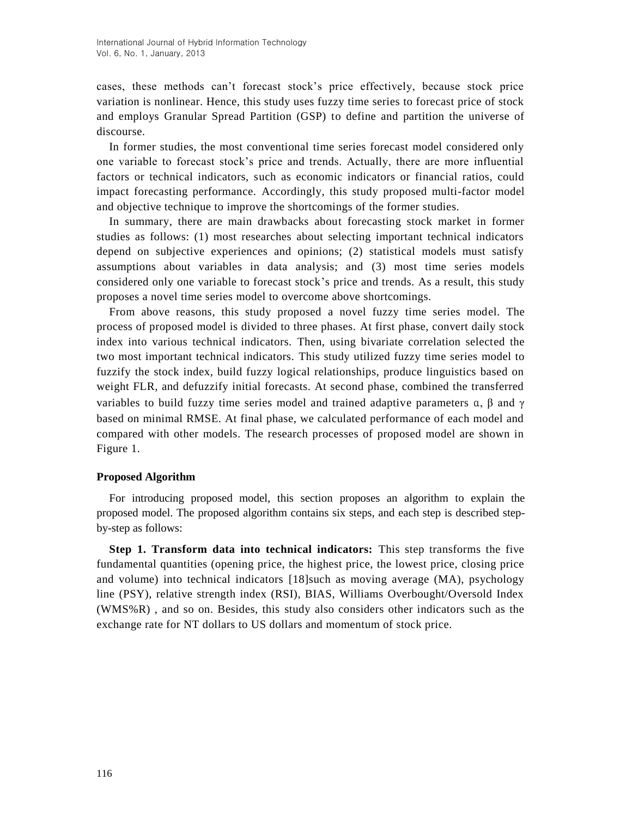cases, these methods can't forecast stock's price effectively, because stock price variation is nonlinear. Hence, this study uses fuzzy time series to forecast price of stock and employs Granular Spread Partition (GSP) to define and partition the universe of discourse.

In former studies, the most conventional time series forecast model considered only one variable to forecast stock's price and trends. Actually, there are more influential factors or technical indicators, such as economic indicators or financial ratios, could impact forecasting performance. Accordingly, this study proposed multi-factor model and objective technique to improve the shortcomings of the former studies.

In summary, there are main drawbacks about forecasting stock market in former studies as follows: (1) most researches about selecting important technical indicators depend on subjective experiences and opinions; (2) statistical models must satisfy assumptions about variables in data analysis; and (3) most time series models considered only one variable to forecast stock's price and trends. As a result, this study proposes a novel time series model to overcome above shortcomings.

From above reasons, this study proposed a novel fuzzy time series model. The process of proposed model is divided to three phases. At first phase, convert daily stock index into various technical indicators. Then, using bivariate correlation selected the two most important technical indicators. This study utilized fuzzy time series model to fuzzify the stock index, build fuzzy logical relationships, produce linguistics based on weight FLR, and defuzzify initial forecasts. At second phase, combined the transferred variables to build fuzzy time series model and trained adaptive parameters  $\alpha$ ,  $\beta$  and  $\gamma$ based on minimal RMSE. At final phase, we calculated performance of each model and compared with other models. The research processes of proposed model are shown in Figure 1.

## **Proposed Algorithm**

For introducing proposed model, this section proposes an algorithm to explain the proposed model. The proposed algorithm contains six steps, and each step is described stepby-step as follows:

**Step 1. Transform data into technical indicators:** This step transforms the five fundamental quantities (opening price, the highest price, the lowest price, closing price and volume) into technical indicators [18]such as moving average (MA), psychology line (PSY), relative strength index (RSI), BIAS, Williams Overbought/Oversold Index (WMS%R) , and so on. Besides, this study also considers other indicators such as the exchange rate for NT dollars to US dollars and momentum of stock price.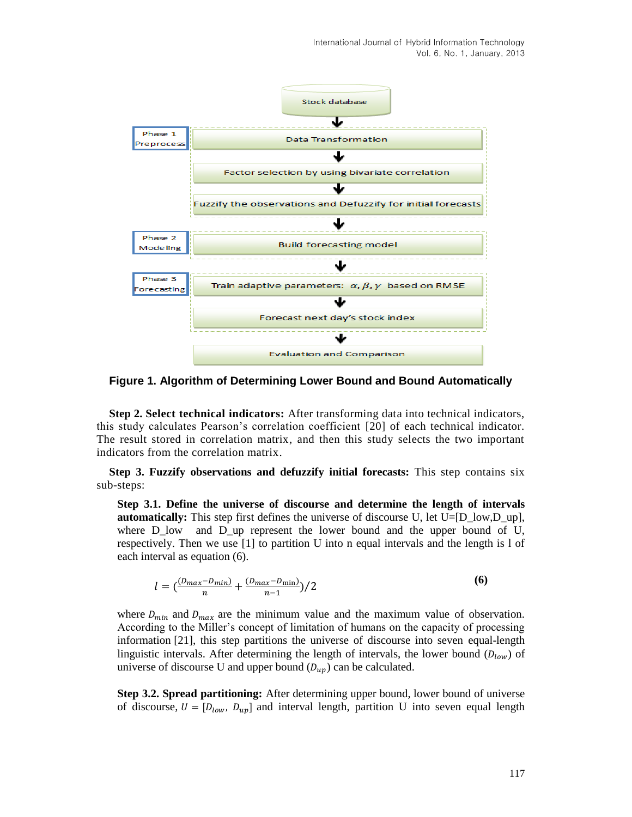

**Figure 1. Algorithm of Determining Lower Bound and Bound Automatically**

**Step 2. Select technical indicators:** After transforming data into technical indicators, this study calculates Pearson's correlation coefficient [20] of each technical indicator. The result stored in correlation matrix, and then this study selects the two important indicators from the correlation matrix.

**Step 3. Fuzzify observations and defuzzify initial forecasts:** This step contains six sub-steps:

**Step 3.1. Define the universe of discourse and determine the length of intervals automatically:** This step first defines the universe of discourse U, let  $U=[D \text{ low},D \text{ up}]$ , where  $D$  low and  $D$  up represent the lower bound and the upper bound of U, respectively. Then we use [1] to partition U into n equal intervals and the length is l of each interval as equation (6).

$$
l = \left(\frac{(D_{max} - D_{min})}{n} + \frac{(D_{max} - D_{min})}{n - 1}\right) / 2
$$
 (6)

where  $D_{min}$  and  $D_{max}$  are the minimum value and the maximum value of observation. According to the Miller's concept of limitation of humans on the capacity of processing information [21], this step partitions the universe of discourse into seven equal-length linguistic intervals. After determining the length of intervals, the lower bound  $(D_{low})$  of universe of discourse U and upper bound  $(D_{up})$  can be calculated.

**Step 3.2. Spread partitioning:** After determining upper bound, lower bound of universe of discourse,  $U = [D_{low}, D_{up}]$  and interval length, partition U into seven equal length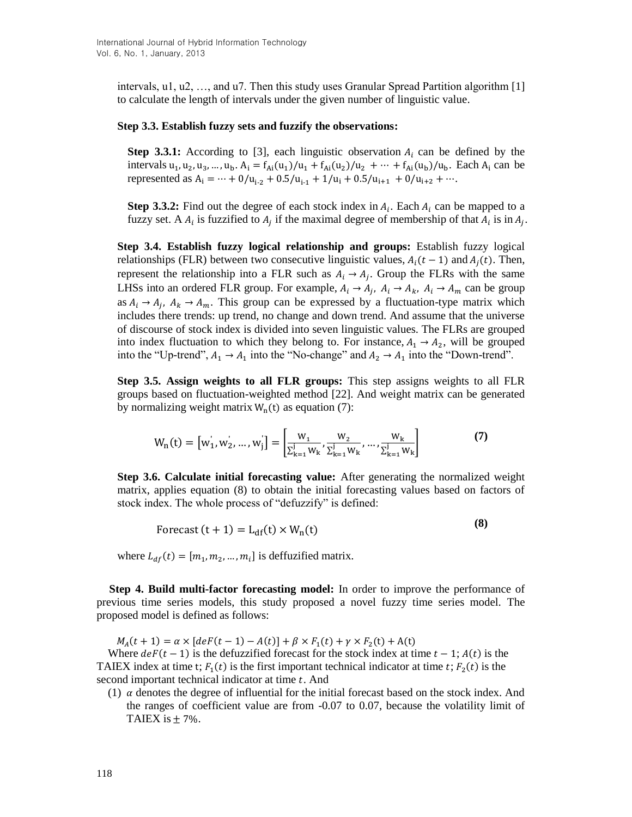intervals, u1, u2, …, and u7. Then this study uses Granular Spread Partition algorithm [1] to calculate the length of intervals under the given number of linguistic value.

#### **Step 3.3. Establish fuzzy sets and fuzzify the observations:**

**Step 3.3.1:** According to [3], each linguistic observation  $A_i$  can be defined by the intervals  $u_1, u_2, u_3, ..., u_b$ .  $A_i = f_{Ai}(u_1)/u_1 + f_{Ai}(u_2)/u_2 + ... + f_{Ai}(u_b)/u_b$ . Each  $A_i$  can be represented as  $A_i = \dots + 0/u_{i-2} + 0.5/u_{i-1} + 1/u_i + 0.5/u_{i+1} + 0/u_{i+2} + \dots$ 

**Step 3.3.2:** Find out the degree of each stock index in  $A_i$ . Each  $A_i$  can be mapped to a fuzzy set. A  $A_i$  is fuzzified to  $A_i$  if the maximal degree of membership of that  $A_i$  is in  $A_i$ .

**Step 3.4. Establish fuzzy logical relationship and groups:** Establish fuzzy logical relationships (FLR) between two consecutive linguistic values,  $A_i(t-1)$  and  $A_i(t)$ . Then, represent the relationship into a FLR such as  $A_i \rightarrow A_j$ . Group the FLRs with the same LHSs into an ordered FLR group. For example,  $A_i \rightarrow A_j$ ,  $A_i \rightarrow A_k$ ,  $A_i \rightarrow A_m$  can be group as  $A_i \rightarrow A_i$ ,  $A_k \rightarrow A_m$ . This group can be expressed by a fluctuation-type matrix which includes there trends: up trend, no change and down trend. And assume that the universe of discourse of stock index is divided into seven linguistic values. The FLRs are grouped into index fluctuation to which they belong to. For instance,  $A_1 \rightarrow A_2$ , will be grouped into the "Up-trend",  $A_1 \rightarrow A_1$  into the "No-change" and  $A_2 \rightarrow A_1$  into the "Down-trend".

**Step 3.5. Assign weights to all FLR groups:** This step assigns weights to all FLR groups based on fluctuation-weighted method [22]. And weight matrix can be generated by normalizing weight matrix  $W_n(t)$  as equation (7):

$$
W_{n}(t) = [w'_{1}, w'_{2}, ..., w'_{j}] = \left[\frac{w_{1}}{\sum_{k=1}^{j} W_{k}}, \frac{w_{2}}{\sum_{k=1}^{j} W_{k}}, ..., \frac{w_{k}}{\sum_{k=1}^{j} W_{k}}\right]
$$
(7)

**Step 3.6. Calculate initial forecasting value:** After generating the normalized weight matrix, applies equation (8) to obtain the initial forecasting values based on factors of stock index. The whole process of "defuzzify" is defined:

Forecast  $(t + 1) = L<sub>df</sub>(t) \times W<sub>n</sub>(t)$ **(8)**

where  $L_{df}(t) = [m_1, m_2, ..., m_i]$  is deffuzified matrix.

**Step 4. Build multi-factor forecasting model:** In order to improve the performance of previous time series models, this study proposed a novel fuzzy time series model. The proposed model is defined as follows:

 $M_A(t + 1) = \alpha \times [deF(t - 1) - A(t)] + \beta \times F_1(t) + \gamma \times F_2(t) + A(t)]$ 

Where  $def(t-1)$  is the defuzzified forecast for the stock index at time  $t-1$ ;  $A(t)$  is the TAIEX index at time t;  $F_1(t)$  is the first important technical indicator at time t;  $F_2(t)$  is the second important technical indicator at time  $t$ . And

(1)  $\alpha$  denotes the degree of influential for the initial forecast based on the stock index. And the ranges of coefficient value are from -0.07 to 0.07, because the volatility limit of TAIEX is  $\pm$  7%.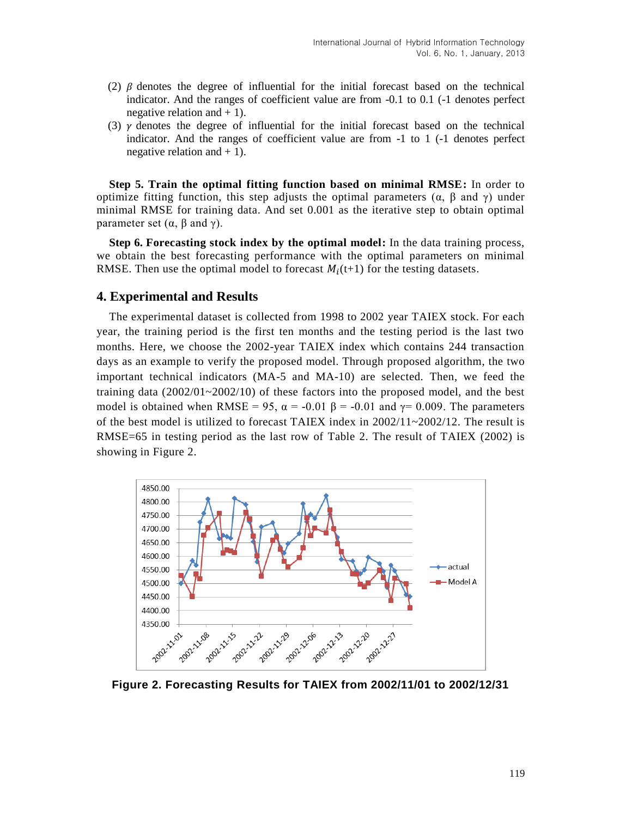- (2)  $\beta$  denotes the degree of influential for the initial forecast based on the technical indicator. And the ranges of coefficient value are from -0.1 to 0.1 (-1 denotes perfect negative relation and  $+1$ ).
- (3)  $\gamma$  denotes the degree of influential for the initial forecast based on the technical indicator. And the ranges of coefficient value are from -1 to 1 (-1 denotes perfect negative relation and  $+1$ ).

**Step 5. Train the optimal fitting function based on minimal RMSE:** In order to optimize fitting function, this step adjusts the optimal parameters ( $\alpha$ ,  $\beta$  and  $\gamma$ ) under minimal RMSE for training data. And set 0.001 as the iterative step to obtain optimal parameter set  $(α, β \text{ and } γ)$ .

**Step 6. Forecasting stock index by the optimal model:** In the data training process, we obtain the best forecasting performance with the optimal parameters on minimal RMSE. Then use the optimal model to forecast  $M_i(t+1)$  for the testing datasets.

## **4. Experimental and Results**

The experimental dataset is collected from 1998 to 2002 year TAIEX stock. For each year, the training period is the first ten months and the testing period is the last two months. Here, we choose the 2002-year TAIEX index which contains 244 transaction days as an example to verify the proposed model. Through proposed algorithm, the two important technical indicators (MA-5 and MA-10) are selected. Then, we feed the training data (2002/01~2002/10) of these factors into the proposed model, and the best model is obtained when RMSE = 95,  $\alpha$  = -0.01  $\beta$  = -0.01 and  $\gamma$ = 0.009. The parameters of the best model is utilized to forecast TAIEX index in  $2002/11 \sim 2002/12$ . The result is RMSE=65 in testing period as the last row of Table 2. The result of TAIEX (2002) is showing in Figure 2.



**Figure 2. Forecasting Results for TAIEX from 2002/11/01 to 2002/12/31**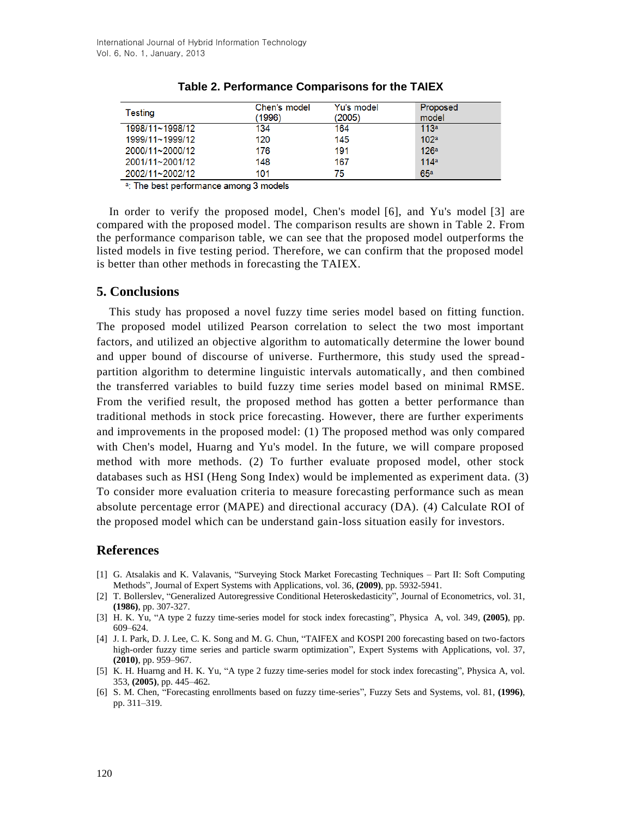| Testing         | Chen's model<br>(1996) | Yu's model<br>(2005) | Proposed<br>model |
|-----------------|------------------------|----------------------|-------------------|
| 1998/11~1998/12 | 134                    | 164                  | 113a              |
| 1999/11~1999/12 | 120                    | 145                  | 102 <sup>a</sup>  |
| 2000/11~2000/12 | 176                    | 191                  | 126 <sup>a</sup>  |
| 2001/11~2001/12 | 148                    | 167                  | 114a              |
| 2002/11~2002/12 | 101                    | 75                   | 65a               |

|  |  | Table 2. Performance Comparisons for the TAIEX |  |  |  |
|--|--|------------------------------------------------|--|--|--|
|--|--|------------------------------------------------|--|--|--|

a: The best performance among 3 models

In order to verify the proposed model, Chen's model [6], and Yu's model [3] are compared with the proposed model. The comparison results are shown in Table 2. From the performance comparison table, we can see that the proposed model outperforms the listed models in five testing period. Therefore, we can confirm that the proposed model is better than other methods in forecasting the TAIEX.

## **5. Conclusions**

This study has proposed a novel fuzzy time series model based on fitting function. The proposed model utilized Pearson correlation to select the two most important factors, and utilized an objective algorithm to automatically determine the lower bound and upper bound of discourse of universe. Furthermore, this study used the spreadpartition algorithm to determine linguistic intervals automatically, and then combined the transferred variables to build fuzzy time series model based on minimal RMSE. From the verified result, the proposed method has gotten a better performance than traditional methods in stock price forecasting. However, there are further experiments and improvements in the proposed model: (1) The proposed method was only compared with Chen's model, Huarng and Yu's model. In the future, we will compare proposed method with more methods. (2) To further evaluate proposed model, other stock databases such as HSI (Heng Song Index) would be implemented as experiment data. (3) To consider more evaluation criteria to measure forecasting performance such as mean absolute percentage error (MAPE) and directional accuracy (DA). (4) Calculate ROI of the proposed model which can be understand gain-loss situation easily for investors.

# **References**

- [1] G. Atsalakis and K. Valavanis, "Surveying Stock Market Forecasting Techniques Part II: Soft Computing Methods", Journal of Expert Systems with Applications, vol. 36, **(2009)**, pp. 5932-5941.
- [2] T. Bollerslev, "Generalized Autoregressive Conditional Heteroskedasticity", Journal of Econometrics, vol. 31, **(1986)**, pp. 307-327.
- [3] H. K. Yu, "A type 2 fuzzy time-series model for stock index forecasting", Physica A, vol. 349, **(2005)**, pp. 609–624.
- [4] J. I. Park, D. J. Lee, C. K. Song and M. G. Chun, "TAIFEX and KOSPI 200 forecasting based on two-factors high-order fuzzy time series and particle swarm optimization", Expert Systems with Applications, vol. 37, **(2010)**, pp. 959–967.
- [5] K. H. Huarng and H. K. Yu, "A type 2 fuzzy time-series model for stock index forecasting", Physica A, vol. 353, **(2005)**, pp. 445–462.
- [6] S. M. Chen, "Forecasting enrollments based on fuzzy time-series", Fuzzy Sets and Systems, vol. 81, **(1996)**, pp. 311–319.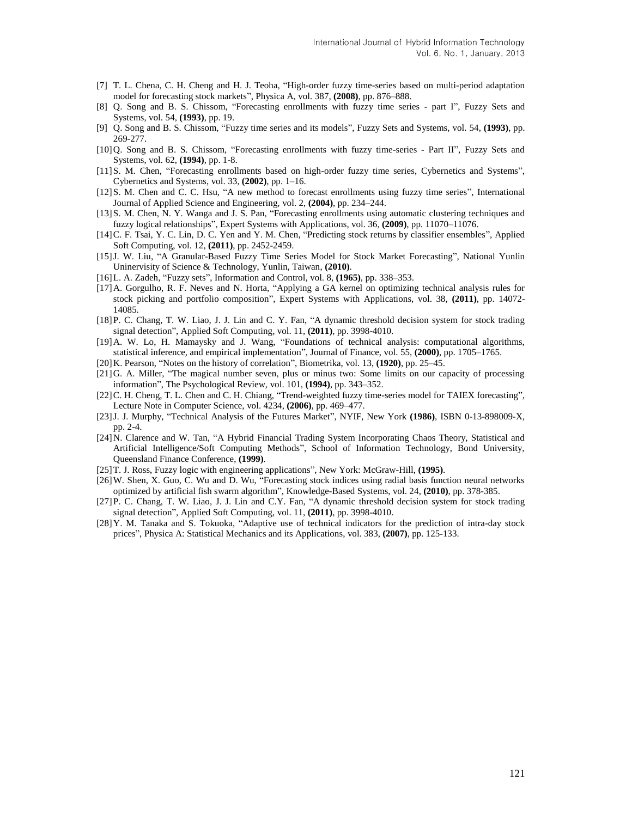- [7] T. L. Chena, C. H. Cheng and H. J. Teoha, "High-order fuzzy time-series based on multi-period adaptation model for forecasting stock markets", Physica A, vol. 387, **(2008)**, pp. 876–888.
- [8] Q. Song and B. S. Chissom, "Forecasting enrollments with fuzzy time series part I", Fuzzy Sets and Systems, vol. 54, **(1993)**, pp. 19.
- [9] Q. Song and B. S. Chissom, "Fuzzy time series and its models", Fuzzy Sets and Systems, vol. 54, **(1993)**, pp. 269-277.
- [10]Q. Song and B. S. Chissom, "Forecasting enrollments with fuzzy time-series Part II", Fuzzy Sets and Systems, vol. 62, **(1994)**, pp. 1-8.
- [11]S. M. Chen, "Forecasting enrollments based on high-order fuzzy time series, Cybernetics and Systems", Cybernetics and Systems, vol. 33, **(2002)**, pp. 1–16.
- [12]S. M. Chen and C. C. Hsu, "A new method to forecast enrollments using fuzzy time series", International Journal of Applied Science and Engineering, vol. 2, **(2004)**, pp. 234–244.
- [13]S. M. Chen, N. Y. Wanga and J. S. Pan, "Forecasting enrollments using automatic clustering techniques and fuzzy logical relationships", Expert Systems with Applications, vol. 36, **(2009)**, pp. 11070–11076.
- [14]C. F. Tsai, Y. C. Lin, D. C. Yen and Y. M. Chen, "Predicting stock returns by classifier ensembles", Applied Soft Computing, vol. 12, **(2011)**, pp. 2452-2459.
- [15]J. W. Liu, "A Granular-Based Fuzzy Time Series Model for Stock Market Forecasting", National Yunlin Uninervisity of Science & Technology, Yunlin, Taiwan, **(2010)**.
- [16]L. A. Zadeh, "Fuzzy sets", Information and Control, vol. 8, **(1965)**, pp. 338–353.
- [17]A. Gorgulho, R. F. Neves and N. Horta, "Applying a GA kernel on optimizing technical analysis rules for stock picking and portfolio composition", Expert Systems with Applications, vol. 38, **(2011)**, pp. 14072- 14085.
- [18] P. C. Chang, T. W. Liao, J. J. Lin and C. Y. Fan, "A dynamic threshold decision system for stock trading signal detection", Applied Soft Computing, vol. 11, **(2011)**, pp. 3998-4010.
- [19]A. W. Lo, H. Mamaysky and J. Wang, "Foundations of technical analysis: computational algorithms, statistical inference, and empirical implementation", Journal of Finance, vol. 55, **(2000)**, pp. 1705–1765.
- [20]K. Pearson, "Notes on the history of correlation", Biometrika, vol. 13, **(1920)**, pp. 25–45.
- [21]G. A. Miller, "The magical number seven, plus or minus two: Some limits on our capacity of processing information", The Psychological Review, vol. 101, **(1994)**, pp. 343–352.
- [22] C. H. Cheng, T. L. Chen and C. H. Chiang, "Trend-weighted fuzzy time-series model for TAIEX forecasting", Lecture Note in Computer Science, vol. 4234, **(2006)**, pp. 469–477.
- [23]J. J. Murphy, "Technical Analysis of the Futures Market", NYIF, New York **(1986)**, ISBN 0-13-898009-X, pp. 2-4.
- [24]N. Clarence and W. Tan, "A Hybrid Financial Trading System Incorporating Chaos Theory, Statistical and Artificial Intelligence/Soft Computing Methods", School of Information Technology, Bond University, Queensland Finance Conference, **(1999)**.
- [25]T. J. Ross, Fuzzy logic with engineering applications", New York: McGraw-Hill, **(1995)**.
- [26]W. Shen, X. Guo, C. Wu and D. Wu, "Forecasting stock indices using radial basis function neural networks optimized by artificial fish swarm algorithm", Knowledge-Based Systems, vol. 24, **(2010)**, pp. 378-385.
- [27] P. C. Chang, T. W. Liao, J. J. Lin and C.Y. Fan, "A dynamic threshold decision system for stock trading signal detection", Applied Soft Computing, vol. 11, **(2011)**, pp. 3998-4010.
- [28]Y. M. Tanaka and S. Tokuoka, "Adaptive use of technical indicators for the prediction of intra-day stock prices", Physica A: Statistical Mechanics and its Applications, vol. 383, **(2007)**, pp. 125-133.